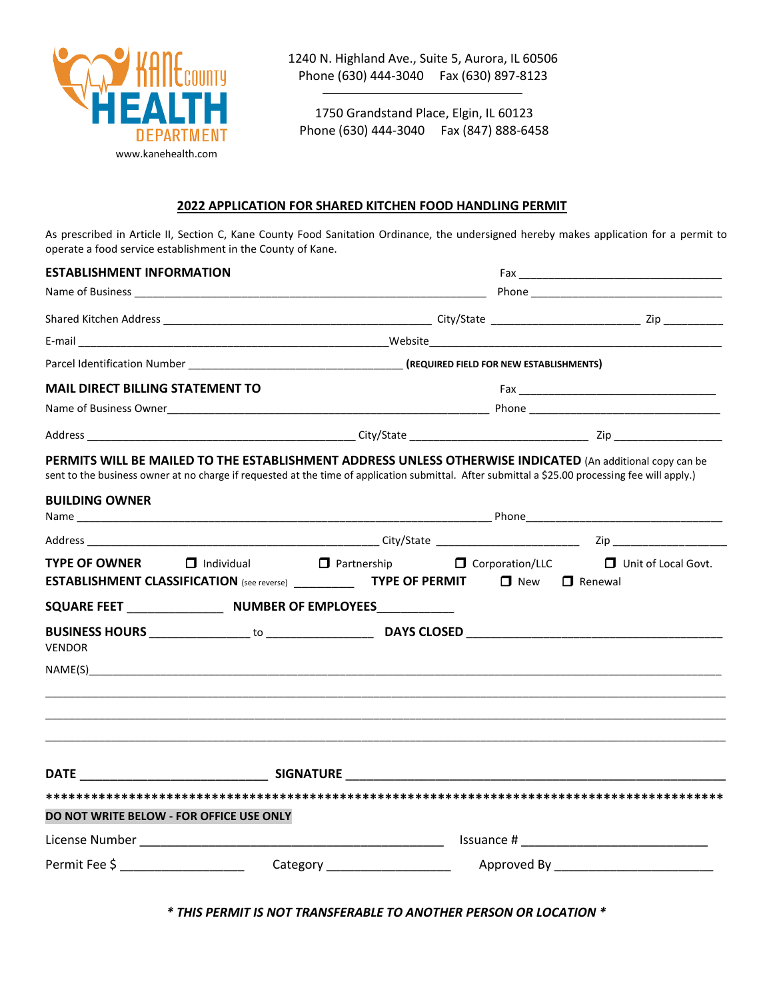

1240 N. Highland Ave., Suite 5, Aurora, IL 60506 Phone (630) 444-3040 Fax (630) 897-8123

1750 Grandstand Place, Elgin, IL 60123 Phone (630) 444-3040 Fax (847) 888-6458

#### **2022 APPLICATION FOR SHARED KITCHEN FOOD HANDLING PERMIT**

As prescribed in Article II, Section C, Kane County Food Sanitation Ordinance, the undersigned hereby makes application for a permit to operate a food service establishment in the County of Kane.

| <b>ESTABLISHMENT INFORMATION</b>         |                                                                                                                                                  |                                                                                                                                                                                                                                      |                           |                                                                                                           |  |  |  |  |
|------------------------------------------|--------------------------------------------------------------------------------------------------------------------------------------------------|--------------------------------------------------------------------------------------------------------------------------------------------------------------------------------------------------------------------------------------|---------------------------|-----------------------------------------------------------------------------------------------------------|--|--|--|--|
|                                          |                                                                                                                                                  |                                                                                                                                                                                                                                      |                           |                                                                                                           |  |  |  |  |
|                                          |                                                                                                                                                  |                                                                                                                                                                                                                                      |                           |                                                                                                           |  |  |  |  |
|                                          |                                                                                                                                                  | Parcel Identification Number <b>Contract Contract Contract Contract Contract Contract Contract Contract Contract Contract Contract Contract Contract Contract Contract Contract Contract Contract Contract Contract Contract Con</b> |                           |                                                                                                           |  |  |  |  |
|                                          |                                                                                                                                                  |                                                                                                                                                                                                                                      |                           |                                                                                                           |  |  |  |  |
| <b>MAIL DIRECT BILLING STATEMENT TO</b>  |                                                                                                                                                  |                                                                                                                                                                                                                                      |                           |                                                                                                           |  |  |  |  |
|                                          |                                                                                                                                                  |                                                                                                                                                                                                                                      |                           |                                                                                                           |  |  |  |  |
|                                          |                                                                                                                                                  |                                                                                                                                                                                                                                      |                           |                                                                                                           |  |  |  |  |
| <b>BUILDING OWNER</b>                    | sent to the business owner at no charge if requested at the time of application submittal. After submittal a \$25.00 processing fee will apply.) |                                                                                                                                                                                                                                      |                           | PERMITS WILL BE MAILED TO THE ESTABLISHMENT ADDRESS UNLESS OTHERWISE INDICATED (An additional copy can be |  |  |  |  |
|                                          |                                                                                                                                                  |                                                                                                                                                                                                                                      |                           |                                                                                                           |  |  |  |  |
|                                          |                                                                                                                                                  |                                                                                                                                                                                                                                      |                           |                                                                                                           |  |  |  |  |
| <b>TYPE OF OWNER</b>                     | <b>ESTABLISHMENT CLASSIFICATION</b> (see reverse) ______________ TYPE OF PERMIT                                                                  |                                                                                                                                                                                                                                      | $\Box$ New $\Box$ Renewal | $\Box$ Individual $\Box$ Partnership $\Box$ Corporation/LLC $\Box$ Unit of Local Govt.                    |  |  |  |  |
|                                          |                                                                                                                                                  |                                                                                                                                                                                                                                      |                           |                                                                                                           |  |  |  |  |
| <b>VENDOR</b>                            |                                                                                                                                                  |                                                                                                                                                                                                                                      |                           |                                                                                                           |  |  |  |  |
|                                          |                                                                                                                                                  |                                                                                                                                                                                                                                      |                           |                                                                                                           |  |  |  |  |
|                                          | <b>DATE Example 2018 SIGNATURE Example 2018 SIGNATURE</b>                                                                                        |                                                                                                                                                                                                                                      |                           |                                                                                                           |  |  |  |  |
|                                          |                                                                                                                                                  |                                                                                                                                                                                                                                      |                           |                                                                                                           |  |  |  |  |
| DO NOT WRITE BELOW - FOR OFFICE USE ONLY |                                                                                                                                                  |                                                                                                                                                                                                                                      |                           |                                                                                                           |  |  |  |  |
|                                          |                                                                                                                                                  |                                                                                                                                                                                                                                      |                           |                                                                                                           |  |  |  |  |
|                                          |                                                                                                                                                  |                                                                                                                                                                                                                                      |                           |                                                                                                           |  |  |  |  |

*\* THIS PERMIT IS NOT TRANSFERABLE TO ANOTHER PERSON OR LOCATION \**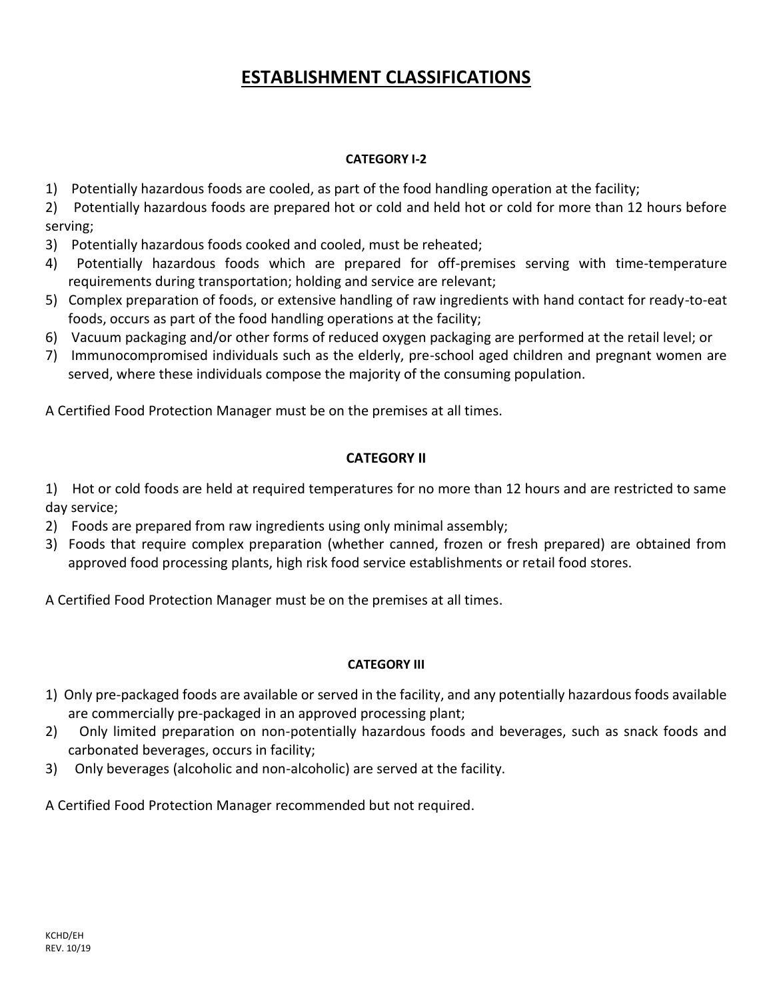## **ESTABLISHMENT CLASSIFICATIONS**

#### **CATEGORY I-2**

1) Potentially hazardous foods are cooled, as part of the food handling operation at the facility;

2) Potentially hazardous foods are prepared hot or cold and held hot or cold for more than 12 hours before serving;

- 3) Potentially hazardous foods cooked and cooled, must be reheated;
- 4) Potentially hazardous foods which are prepared for off-premises serving with time-temperature requirements during transportation; holding and service are relevant;
- 5) Complex preparation of foods, or extensive handling of raw ingredients with hand contact for ready-to-eat foods, occurs as part of the food handling operations at the facility;
- 6) Vacuum packaging and/or other forms of reduced oxygen packaging are performed at the retail level; or
- 7) Immunocompromised individuals such as the elderly, pre-school aged children and pregnant women are served, where these individuals compose the majority of the consuming population.

A Certified Food Protection Manager must be on the premises at all times.

### **CATEGORY II**

1) Hot or cold foods are held at required temperatures for no more than 12 hours and are restricted to same day service;

- 2) Foods are prepared from raw ingredients using only minimal assembly;
- 3) Foods that require complex preparation (whether canned, frozen or fresh prepared) are obtained from approved food processing plants, high risk food service establishments or retail food stores.

A Certified Food Protection Manager must be on the premises at all times.

#### **CATEGORY III**

- 1) Only pre-packaged foods are available or served in the facility, and any potentially hazardous foods available are commercially pre-packaged in an approved processing plant;
- 2) Only limited preparation on non-potentially hazardous foods and beverages, such as snack foods and carbonated beverages, occurs in facility;
- 3) Only beverages (alcoholic and non-alcoholic) are served at the facility.

A Certified Food Protection Manager recommended but not required.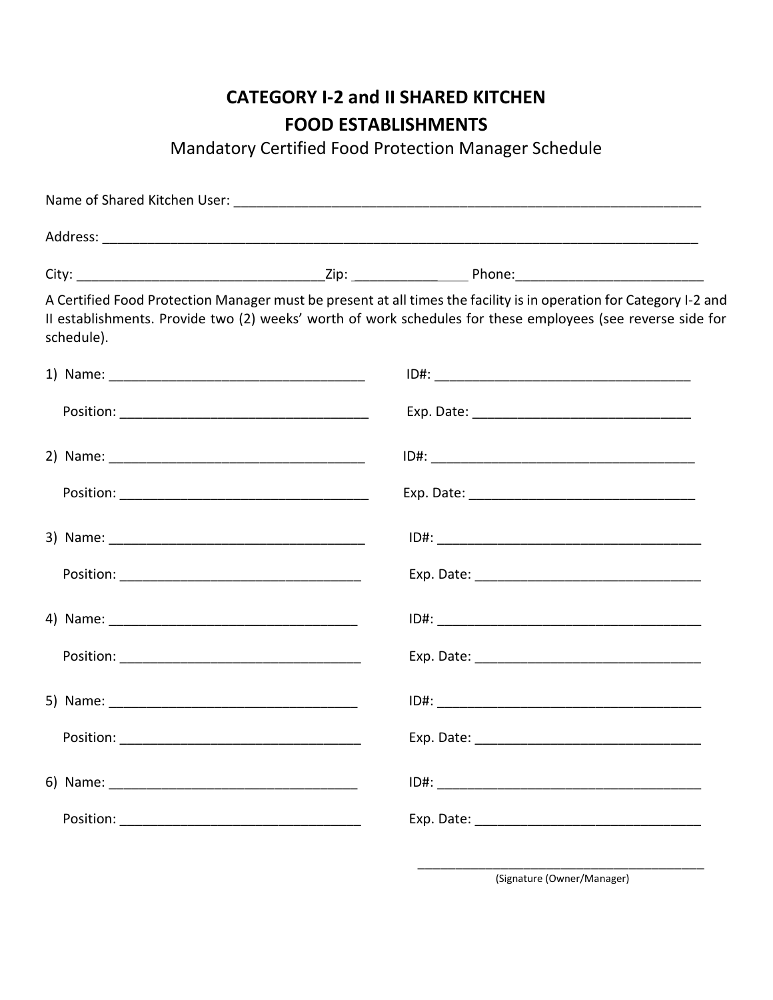## **CATEGORY I-2 and II SHARED KITCHEN FOOD ESTABLISHMENTS**

Mandatory Certified Food Protection Manager Schedule

| schedule). | A Certified Food Protection Manager must be present at all times the facility is in operation for Category I-2 and<br>II establishments. Provide two (2) weeks' worth of work schedules for these employees (see reverse side for |
|------------|-----------------------------------------------------------------------------------------------------------------------------------------------------------------------------------------------------------------------------------|
|            |                                                                                                                                                                                                                                   |
|            |                                                                                                                                                                                                                                   |
|            |                                                                                                                                                                                                                                   |
|            |                                                                                                                                                                                                                                   |
|            |                                                                                                                                                                                                                                   |
|            |                                                                                                                                                                                                                                   |
|            |                                                                                                                                                                                                                                   |
|            |                                                                                                                                                                                                                                   |
|            |                                                                                                                                                                                                                                   |
|            |                                                                                                                                                                                                                                   |
|            |                                                                                                                                                                                                                                   |
|            |                                                                                                                                                                                                                                   |
|            |                                                                                                                                                                                                                                   |

\_\_\_\_\_\_\_\_\_\_\_\_\_\_\_\_\_\_\_\_\_\_\_\_\_\_\_\_\_\_\_\_\_\_\_\_\_\_ (Signature (Owner/Manager)